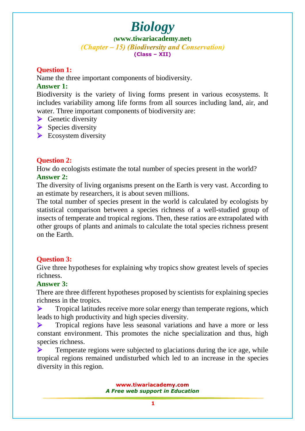**([www.tiwariacademy.net](http://www.tiwariacademy.net/))** (Chapter – 15) (Biodiversity and Conservation) **(Class – XII)**

#### **Question 1:**

Name the three important components of biodiversity.

#### **Answer 1:**

Biodiversity is the variety of living forms present in various ecosystems. It includes variability among life forms from all sources including land, air, and water. Three important components of biodiversity are:

- $\triangleright$  Genetic diversity
- $\triangleright$  Species diversity
- $\triangleright$  Ecosystem diversity

#### **Question 2:**

How do ecolo[gists estimate the total number of species present in](www.tiwariacademy.com) the world? **Answer 2:**

The diversity of living organisms present on the Earth is very vast. According to an estimate by researchers, it is about seven millions.

The total number of species present in the world is calculated by ecologists by statistical comparison between a species richness of a well-studied group of insects of temperate and tropical regions. Then, these ratios are extrapolated with other groups of plants and animals to calculate the total species richness present on the Earth.

#### **Question 3:**

Give three hypotheses for explaining why tropics show greatest levels of species richness.

#### **Answer 3:**

There are three different hypotheses proposed by scientists for explaining species richness in the tropics.

 $\triangleright$  Tropical latitudes receive more solar energy than temperate regions, which leads to high productivity and high species diversity.

 $\triangleright$  Tropical regions have less seasonal variations and have a more or less constant environment. This promotes the niche specialization and thus, high species richness.

 $\triangleright$  Temperate regions were subjected to glaciations during the ice age, while tropical regions remained undisturbed which led to an increase in the species diversity in this region.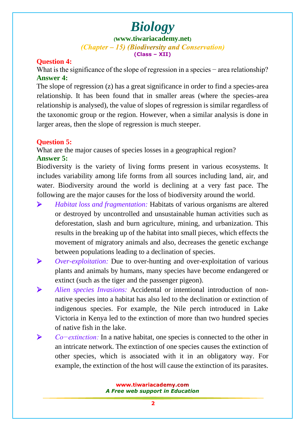**([www.tiwariacademy.net](http://www.tiwariacademy.net/))**

(Chapter – 15) (Biodiversity and Conservation) **(Class – XII)**

#### **Question 4:**

What is the significance of the slope of regression in a species – area relationship? **Answer 4:**

The slope of regression (z) has a great significance in order to find a species-area relationship. It has been found that in smaller areas (where the species-area relationship is analysed), the value of slopes of regression is similar regardless of the taxonomic group or the region. However, when a similar analysis is done in larger areas, then the slope of regression is much steeper.

#### **Question 5:**

What are the major causes of species losses in a geographical region? **Answer 5:**

Biodiversity is the variety of living forms present in various ecosystems. It includes variability among life forms from all sources including land, air, and water. Biodiversity around the world is declining at a very fast pace. The following are the major causes for the loss of biodiversity around the world.

- *Habitat loss and fragmentation:* Habitats of various organisms are altered or destroyed by uncontrolled and unsustainable human activities such as deforestation, slash and burn agriculture, mining, and urbanization. This results in the breaking up of the habitat into small pieces, which effects the movement of migratory animals and also, decreases the genetic exchange between populations leading to a declination of species.
- *Over-exploitation:* Due to over-hunting and over-exploitation of various plants and animals by humans, many species have become endangered or extinct (such as the tiger and the passenger pigeon).
- *Alien species Invasions:* Accidental or intentional introduction of nonnative species into a [habitat has also led to the decl](www.tiwariacademy.com)ination or extinction of indigenous species. For example, the Nile perch introduced in Lake Victoria in Kenya led to the extinction of more than two hundred species of native fish in the lake.
- *Co−extinction:* In a native habitat, one species is connected to the other in an intricate network. The extinction of one species causes the extinction of other species, which is associated with it in an obligatory way. For example, the extinction of the host will cause the extinction of its parasites.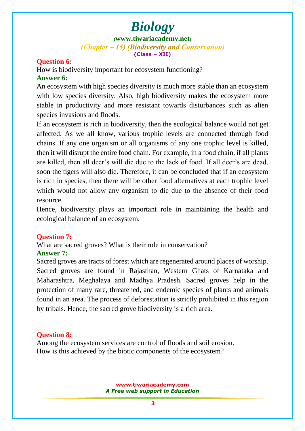**([www.tiwariacademy.net](http://www.tiwariacademy.net/))**

(Chapter – 15) (Biodiversity and Conservation) **(Class – XII)**

#### **Question 6:**

How is biodiversity important for ecosystem functioning? **Answer 6:**

An ecosystem with high species diversity is much more stable than an ecosystem with low species diversity. Also, high biodiversity makes the ecosystem more stable in productivity and more resistant towards disturbances such as alien species invasions and floods.

If an ecosystem is rich in biodiversity, then the ecological balance would not get affected. As we all know, various trophic levels are connected through food chains. If any one organism or all organisms of any one trophic level is killed, then it will disrupt the entire food chain. For example, in a food chain, if all plants are killed, then all deer's will die due to the lack of food. If all deer's are dead, soon the tigers will also d[ie. Therefore, it can b](www.tiwariacademy.com)e concluded that if an ecosystem is rich in species, then there will be other food alternatives at each trophic level which would not allow any organism to die due to the absence of their food resource.

Hence, biodiversity plays an important role in maintaining the health and ecological balance of an ecosystem.

#### **Question 7:**

What are sacred groves? What is their role in conservation?

#### **Answer 7:**

Sacred groves are tracts of forest which are regenerated around places of worship. Sacred groves are found in Rajasthan, Western Ghats of Karnataka and Maharashtra, Meghalaya and Madhya Pradesh. Sacred groves help in the protection of many rare, threatened, and endemic species of plants and animals found in an area. The process of deforestation is strictly prohibited in this region by tribals. Hence, the sacred grove biodiversity is a rich area.

#### **Question 8:**

Among the ecosystem services are control of floods and soil erosion. How is this achieved by the biotic components of the ecosystem?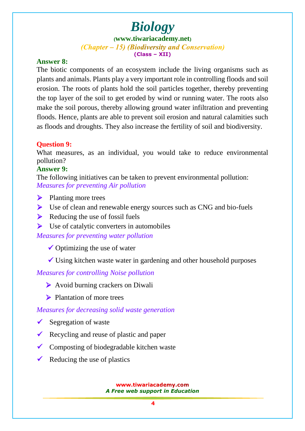**([www.tiwariacademy.net](http://www.tiwariacademy.net/))** (Chapter – 15) (Biodiversity and Conservation) **(Class – XII)**

#### **Answer 8:**

The biotic components of an ecosystem include the living organisms such as plants and animals. Plants play a very important role in controlling floods and soil erosion. The roots of plants hold the soil particles together, thereby preventing the top layer of the soil to get eroded by wind or running water. The roots also make the soil porous, thereby allowing ground water infiltration and preventing floods. Hence, plants are able to prevent soil erosion and natural calamities such as floods and droughts. They also increase the fertility of soil and biodiversity.

#### **Question 9:**

What measures, as an individual, you would take to reduce environmental pollution?

#### **Answer 9:**

The following initiatives can be taken to prevent environmental pollution: *Measures for preventing Air pollution*

- $\triangleright$  Planting more trees
- $\triangleright$  Use of clean and renewable energy sources such as CNG and bio-fuels
- $\triangleright$  Reducing the use of fossil fuels
- $\triangleright$  Use of catalytic converters in automobiles

*Measures for preventing water pollution*

- $\checkmark$  Optimizing the use of water
- $\checkmark$  Using kitchen waste water in gardening and other household purposes

#### *Measures for controlling Noise pollution*

- Avoid burning crackers on Diwali
- **Plantation of more trees**

#### *Measures for decreasing solid w[aste generat](www.tiwariacademy.com)ion*

- Segregation of waste
- Recycling and reuse of plastic and paper
- $\checkmark$  Composting of biodegradable kitchen waste
- Reducing the use of plastics